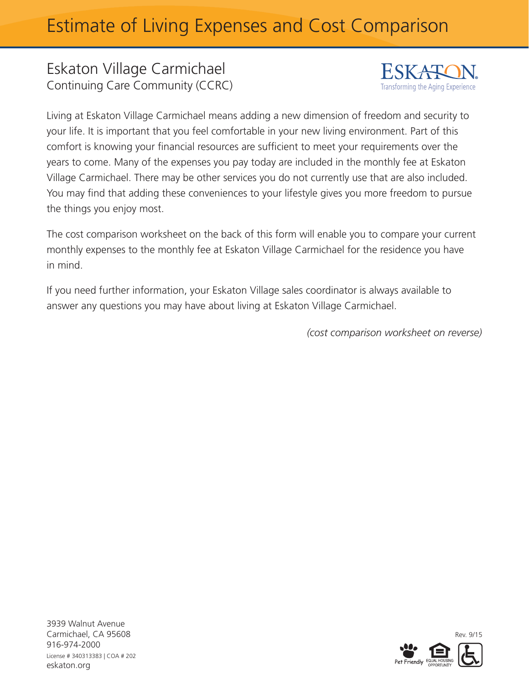## Estimate of Living Expenses and Cost Comparison

## Eskaton Village Carmichael Continuing Care Community (CCRC)



Living at Eskaton Village Carmichael means adding a new dimension of freedom and security to your life. It is important that you feel comfortable in your new living environment. Part of this comfort is knowing your financial resources are sufficient to meet your requirements over the years to come. Many of the expenses you pay today are included in the monthly fee at Eskaton Village Carmichael. There may be other services you do not currently use that are also included. You may find that adding these conveniences to your lifestyle gives you more freedom to pursue the things you enjoy most.

The cost comparison worksheet on the back of this form will enable you to compare your current monthly expenses to the monthly fee at Eskaton Village Carmichael for the residence you have in mind.

If you need further information, your Eskaton Village sales coordinator is always available to answer any questions you may have about living at Eskaton Village Carmichael.

*(cost comparison worksheet on reverse)*

3939 Walnut Avenue Carmichael, CA 95608 916-974-2000 License # 340313383 | COA # 202 eskaton.org